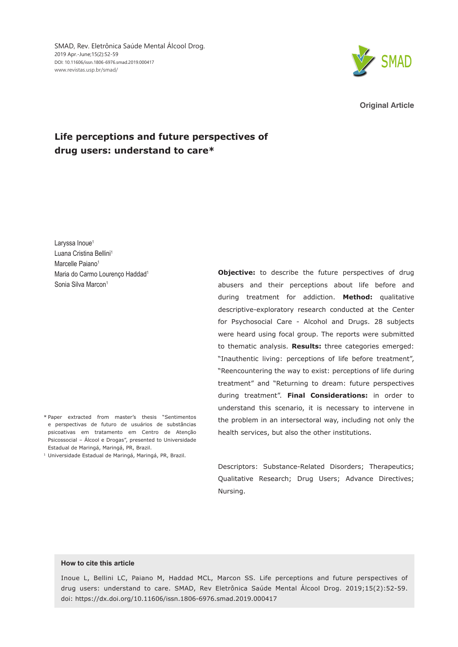SMAD, Rev. Eletrônica Saúde Mental Álcool Drog. 2019 Apr.-June;15(2):52-59 DOI: 10.11606/issn.1806-6976.smad.2019.000417 www.revistas.usp.br/smad/



**Original Article**

# **Life perceptions and future perspectives of drug users: understand to care\***

Laryssa Inoue<sup>1</sup> Luana Cristina Bellini<sup>1</sup> Marcelle Paiano<sup>1</sup> Maria do Carmo Lourenco Haddad<sup>1</sup> Sonia Silva Marcon<sup>1</sup>

- \* Paper extracted from master's thesis "Sentimentos e perspectivas de futuro de usuários de substâncias psicoativas em tratamento em Centro de Atenção Psicossocial – Álcool e Drogas", presented to Universidade Estadual de Maringá, Maringá, PR, Brazil.
- <sup>1</sup> Universidade Estadual de Maringá, Maringá, PR, Brazil.

**Objective:** to describe the future perspectives of drug abusers and their perceptions about life before and during treatment for addiction. **Method:** qualitative descriptive-exploratory research conducted at the Center for Psychosocial Care - Alcohol and Drugs. 28 subjects were heard using focal group. The reports were submitted to thematic analysis. **Results:** three categories emerged: "Inauthentic living: perceptions of life before treatment", "Reencountering the way to exist: perceptions of life during treatment" and "Returning to dream: future perspectives during treatment". **Final Considerations:** in order to understand this scenario, it is necessary to intervene in the problem in an intersectoral way, including not only the health services, but also the other institutions.

Descriptors: Substance-Related Disorders; Therapeutics; Qualitative Research; Drug Users; Advance Directives; Nursing.

### **How to cite this article**

Inoue L, Bellini LC, Paiano M, Haddad MCL, Marcon SS. Life perceptions and future perspectives of drug users: understand to care. SMAD, Rev Eletrônica Saúde Mental Álcool Drog. 2019;15(2):52-59. doi: https://dx.doi.org/10.11606/issn.1806-6976.smad.2019.000417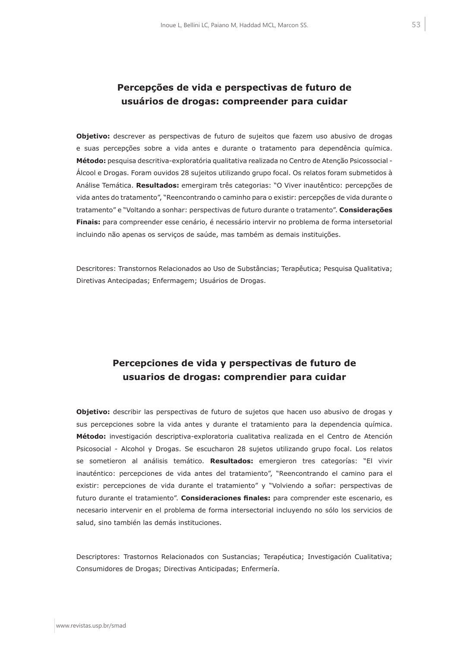# **Percepções de vida e perspectivas de futuro de usuários de drogas: compreender para cuidar**

**Objetivo:** descrever as perspectivas de futuro de sujeitos que fazem uso abusivo de drogas e suas percepções sobre a vida antes e durante o tratamento para dependência química. **Método:** pesquisa descritiva-exploratória qualitativa realizada no Centro de Atenção Psicossocial - Álcool e Drogas. Foram ouvidos 28 sujeitos utilizando grupo focal. Os relatos foram submetidos à Análise Temática. **Resultados:** emergiram três categorias: "O Viver inautêntico: percepções de vida antes do tratamento", "Reencontrando o caminho para o existir: percepções de vida durante o tratamento" e "Voltando a sonhar: perspectivas de futuro durante o tratamento". **Considerações Finais:** para compreender esse cenário, é necessário intervir no problema de forma intersetorial incluindo não apenas os serviços de saúde, mas também as demais instituições.

Descritores: Transtornos Relacionados ao Uso de Substâncias; Terapêutica; Pesquisa Qualitativa; Diretivas Antecipadas; Enfermagem; Usuários de Drogas.

## **Percepciones de vida y perspectivas de futuro de usuarios de drogas: comprendier para cuidar**

**Objetivo:** describir las perspectivas de futuro de sujetos que hacen uso abusivo de drogas y sus percepciones sobre la vida antes y durante el tratamiento para la dependencia química. **Método:** investigación descriptiva-exploratoria cualitativa realizada en el Centro de Atención Psicosocial - Alcohol y Drogas. Se escucharon 28 sujetos utilizando grupo focal. Los relatos se sometieron al análisis temático. **Resultados:** emergieron tres categorías: "El vivir inauténtico: percepciones de vida antes del tratamiento", "Reencontrando el camino para el existir: percepciones de vida durante el tratamiento" y "Volviendo a soñar: perspectivas de futuro durante el tratamiento". **Consideraciones finales:** para comprender este escenario, es necesario intervenir en el problema de forma intersectorial incluyendo no sólo los servicios de salud, sino también las demás instituciones.

Descriptores: Trastornos Relacionados con Sustancias; Terapéutica; Investigación Cualitativa; Consumidores de Drogas; Directivas Anticipadas; Enfermería.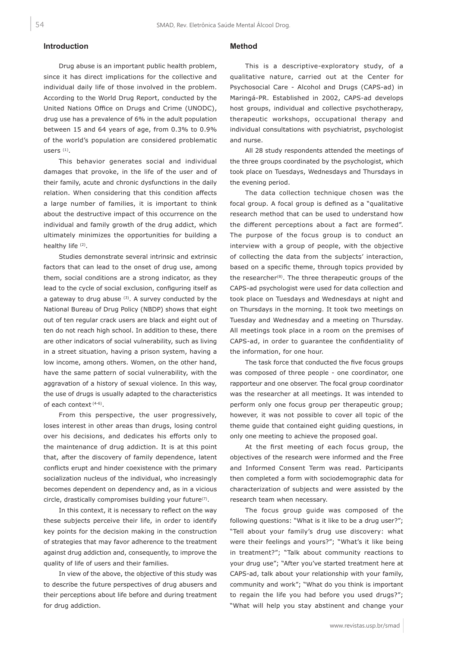## **Introduction**

Drug abuse is an important public health problem, since it has direct implications for the collective and individual daily life of those involved in the problem. According to the World Drug Report, conducted by the United Nations Office on Drugs and Crime (UNODC), drug use has a prevalence of 6% in the adult population between 15 and 64 years of age, from 0.3% to 0.9% of the world's population are considered problematic users<sup>(1)</sup>.

This behavior generates social and individual damages that provoke, in the life of the user and of their family, acute and chronic dysfunctions in the daily relation. When considering that this condition affects a large number of families, it is important to think about the destructive impact of this occurrence on the individual and family growth of the drug addict, which ultimately minimizes the opportunities for building a healthy life (2).

Studies demonstrate several intrinsic and extrinsic factors that can lead to the onset of drug use, among them, social conditions are a strong indicator, as they lead to the cycle of social exclusion, configuring itself as a gateway to drug abuse  $(3)$ . A survey conducted by the National Bureau of Drug Policy (NBDP) shows that eight out of ten regular crack users are black and eight out of ten do not reach high school. In addition to these, there are other indicators of social vulnerability, such as living in a street situation, having a prison system, having a low income, among others. Women, on the other hand, have the same pattern of social vulnerability, with the aggravation of a history of sexual violence. In this way, the use of drugs is usually adapted to the characteristics of each context (4-6).

From this perspective, the user progressively, loses interest in other areas than drugs, losing control over his decisions, and dedicates his efforts only to the maintenance of drug addiction. It is at this point that, after the discovery of family dependence, latent conflicts erupt and hinder coexistence with the primary socialization nucleus of the individual, who increasingly becomes dependent on dependency and, as in a vicious circle, drastically compromises building your future<sup>(7)</sup>.

In this context, it is necessary to reflect on the way these subjects perceive their life, in order to identify key points for the decision making in the construction of strategies that may favor adherence to the treatment against drug addiction and, consequently, to improve the quality of life of users and their families.

In view of the above, the objective of this study was to describe the future perspectives of drug abusers and their perceptions about life before and during treatment for drug addiction.

## **Method**

This is a descriptive-exploratory study, of a qualitative nature, carried out at the Center for Psychosocial Care - Alcohol and Drugs (CAPS-ad) in Maringá-PR. Established in 2002, CAPS-ad develops host groups, individual and collective psychotherapy, therapeutic workshops, occupational therapy and individual consultations with psychiatrist, psychologist and nurse.

All 28 study respondents attended the meetings of the three groups coordinated by the psychologist, which took place on Tuesdays, Wednesdays and Thursdays in the evening period.

The data collection technique chosen was the focal group. A focal group is defined as a "qualitative research method that can be used to understand how the different perceptions about a fact are formed". The purpose of the focus group is to conduct an interview with a group of people, with the objective of collecting the data from the subjects' interaction, based on a specific theme, through topics provided by the researcher $(8)$ . The three therapeutic groups of the CAPS-ad psychologist were used for data collection and took place on Tuesdays and Wednesdays at night and on Thursdays in the morning. It took two meetings on Tuesday and Wednesday and a meeting on Thursday. All meetings took place in a room on the premises of CAPS-ad, in order to guarantee the confidentiality of the information, for one hour.

The task force that conducted the five focus groups was composed of three people - one coordinator, one rapporteur and one observer. The focal group coordinator was the researcher at all meetings. It was intended to perform only one focus group per therapeutic group; however, it was not possible to cover all topic of the theme guide that contained eight guiding questions, in only one meeting to achieve the proposed goal.

At the first meeting of each focus group, the objectives of the research were informed and the Free and Informed Consent Term was read. Participants then completed a form with sociodemographic data for characterization of subjects and were assisted by the research team when necessary.

The focus group guide was composed of the following questions: "What is it like to be a drug user?"; "Tell about your family's drug use discovery: what were their feelings and yours?"; "What's it like being in treatment?"; "Talk about community reactions to your drug use"; "After you've started treatment here at CAPS-ad, talk about your relationship with your family, community and work"; "What do you think is important to regain the life you had before you used drugs?"; "What will help you stay abstinent and change your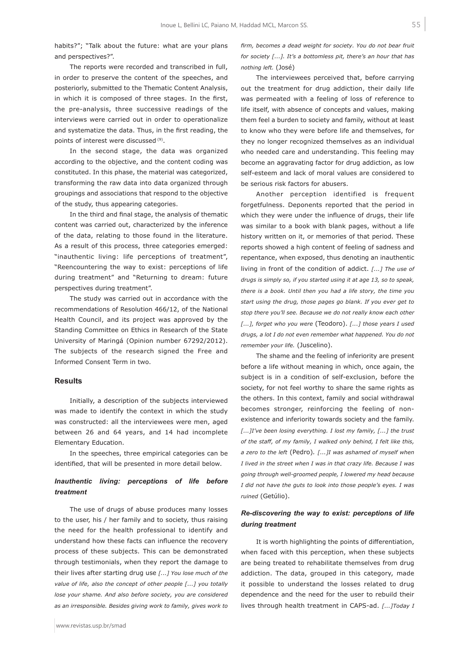habits?"; "Talk about the future: what are your plans and perspectives?".

The reports were recorded and transcribed in full, in order to preserve the content of the speeches, and posteriorly, submitted to the Thematic Content Analysis, in which it is composed of three stages. In the first, the pre-analysis, three successive readings of the interviews were carried out in order to operationalize and systematize the data. Thus, in the first reading, the points of interest were discussed (9).

In the second stage, the data was organized according to the objective, and the content coding was constituted. In this phase, the material was categorized, transforming the raw data into data organized through groupings and associations that respond to the objective of the study, thus appearing categories.

In the third and final stage, the analysis of thematic content was carried out, characterized by the inference of the data, relating to those found in the literature. As a result of this process, three categories emerged: "inauthentic living: life perceptions of treatment", "Reencountering the way to exist: perceptions of life during treatment" and "Returning to dream: future perspectives during treatment".

The study was carried out in accordance with the recommendations of Resolution 466/12, of the National Health Council, and its project was approved by the Standing Committee on Ethics in Research of the State University of Maringá (Opinion number 67292/2012). The subjects of the research signed the Free and Informed Consent Term in two.

#### **Results**

Initially, a description of the subjects interviewed was made to identify the context in which the study was constructed: all the interviewees were men, aged between 26 and 64 years, and 14 had incomplete Elementary Education.

In the speeches, three empirical categories can be identified, that will be presented in more detail below.

## *Inauthentic living: perceptions of life before treatment*

The use of drugs of abuse produces many losses to the user, his / her family and to society, thus raising the need for the health professional to identify and understand how these facts can influence the recovery process of these subjects. This can be demonstrated through testimonials, when they report the damage to their lives after starting drug use *[...] You lose much of the value of life, also the concept of other people [...] you totally lose your shame. And also before society, you are considered as an irresponsible. Besides giving work to family, gives work to* 

*firm, becomes a dead weight for society. You do not bear fruit for society [...]. It's a bottomless pit, there's an hour that has nothing left.* (José)

The interviewees perceived that, before carrying out the treatment for drug addiction, their daily life was permeated with a feeling of loss of reference to life itself, with absence of concepts and values, making them feel a burden to society and family, without at least to know who they were before life and themselves, for they no longer recognized themselves as an individual who needed care and understanding. This feeling may become an aggravating factor for drug addiction, as low self-esteem and lack of moral values are considered to be serious risk factors for abusers.

Another perception identified is frequent forgetfulness. Deponents reported that the period in which they were under the influence of drugs, their life was similar to a book with blank pages, without a life history written on it, or memories of that period. These reports showed a high content of feeling of sadness and repentance, when exposed, thus denoting an inauthentic living in front of the condition of addict. *[...] The use of drugs is simply so, if you started using it at age 13, so to speak, there is a book. Until then you had a life story, the time you start using the drug, those pages go blank. If you ever get to stop there you'll see. Because we do not really know each other [...], forget who you were* (Teodoro). *[...] those years I used drugs, a lot I do not even remember what happened. You do not remember your life.* (Juscelino).

The shame and the feeling of inferiority are present before a life without meaning in which, once again, the subject is in a condition of self-exclusion, before the society, for not feel worthy to share the same rights as the others. In this context, family and social withdrawal becomes stronger, reinforcing the feeling of nonexistence and inferiority towards society and the family. *[...]I've been losing everything. I lost my family, [...] the trust of the staff, of my family, I walked only behind, I felt like this, a zero to the left* (Pedro)*. [...]I was ashamed of myself when I lived in the street when I was in that crazy life. Because I was going through well-groomed people, I lowered my head because I did not have the guts to look into those people's eyes. I was ruined* (Getúlio).

### *Re-discovering the way to exist: perceptions of life during treatment*

It is worth highlighting the points of differentiation, when faced with this perception, when these subjects are being treated to rehabilitate themselves from drug addiction. The data, grouped in this category, made it possible to understand the losses related to drug dependence and the need for the user to rebuild their lives through health treatment in CAPS-ad. *[...]Today I*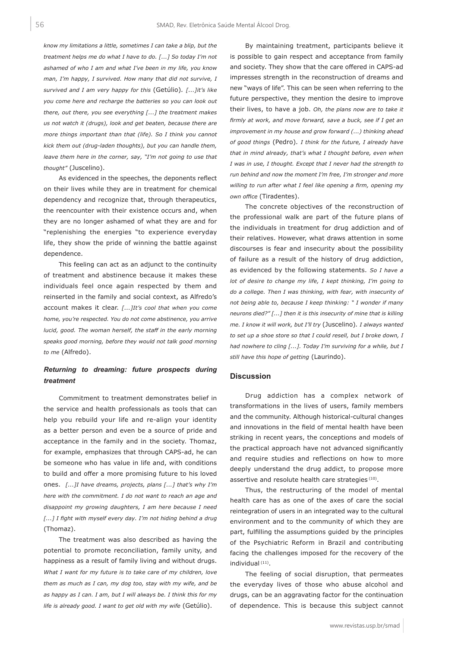*know my limitations a little, sometimes I can take a blip, but the treatment helps me do what I have to do. [...] So today I'm not ashamed of who I am and what I've been in my life, you know man, I'm happy, I survived. How many that did not survive, I survived and I am very happy for this* (Getúlio)*. [...]it's like you come here and recharge the batteries so you can look out there, out there, you see everything [...] the treatment makes us not watch it (drugs), look and get beaten, because there are more things important than that (life). So I think you cannot kick them out (drug-laden thoughts), but you can handle them, leave them here in the corner, say, "I'm not going to use that thought"* (Juscelino).

As evidenced in the speeches, the deponents reflect on their lives while they are in treatment for chemical dependency and recognize that, through therapeutics, the reencounter with their existence occurs and, when they are no longer ashamed of what they are and for "replenishing the energies "to experience everyday life, they show the pride of winning the battle against dependence.

This feeling can act as an adjunct to the continuity of treatment and abstinence because it makes these individuals feel once again respected by them and reinserted in the family and social context, as Alfredo's account makes it clear. *[...]It's cool that when you come home, you're respected. You do not come abstinence, you arrive lucid, good. The woman herself, the staff in the early morning speaks good morning, before they would not talk good morning to me* (Alfredo).

## *Returning to dreaming: future prospects during treatment*

Commitment to treatment demonstrates belief in the service and health professionals as tools that can help you rebuild your life and re-align your identity as a better person and even be a source of pride and acceptance in the family and in the society. Thomaz, for example, emphasizes that through CAPS-ad, he can be someone who has value in life and, with conditions to build and offer a more promising future to his loved ones. *[...]I have dreams, projects, plans [...] that's why I'm here with the commitment. I do not want to reach an age and disappoint my growing daughters, I am here because I need [...] I fight with myself every day. I'm not hiding behind a drug* (Thomaz).

The treatment was also described as having the potential to promote reconciliation, family unity, and happiness as a result of family living and without drugs. *What I want for my future is to take care of my children, love them as much as I can, my dog too, stay with my wife, and be as happy as I can. I am, but I will always be. I think this for my life is already good. I want to get old with my wife* (Getúlio).

By maintaining treatment, participants believe it is possible to gain respect and acceptance from family and society. They show that the care offered in CAPS-ad impresses strength in the reconstruction of dreams and new "ways of life". This can be seen when referring to the future perspective, they mention the desire to improve their lives, to have a job. *Oh, the plans now are to take it firmly at work, and move forward, save a buck, see if I get an improvement in my house and grow forward (...) thinking ahead of good things* (Pedro)*. I think for the future, I already have that in mind already, that's what I thought before, even when I was in use, I thought. Except that I never had the strength to run behind and now the moment I'm free, I'm stronger and more willing to run after what I feel like opening a firm, opening my own office* (Tiradentes).

The concrete objectives of the reconstruction of the professional walk are part of the future plans of the individuals in treatment for drug addiction and of their relatives. However, what draws attention in some discourses is fear and insecurity about the possibility of failure as a result of the history of drug addiction, as evidenced by the following statements. *So I have a lot of desire to change my life, I kept thinking, I'm going to do a college. Then I was thinking, with fear, with insecurity of not being able to, because I keep thinking: " I wonder if many neurons died?" [...] then it is this insecurity of mine that is killing me. I know it will work, but I'll try* (Juscelino)*. I always wanted to set up a shoe store so that I could resell, but I broke down, I had nowhere to cling [...]. Today I'm surviving for a while, but I still have this hope of getting* (Laurindo).

### **Discussion**

Drug addiction has a complex network of transformations in the lives of users, family members and the community. Although historical-cultural changes and innovations in the field of mental health have been striking in recent years, the conceptions and models of the practical approach have not advanced significantly and require studies and reflections on how to more deeply understand the drug addict, to propose more assertive and resolute health care strategies (10).

Thus, the restructuring of the model of mental health care has as one of the axes of care the social reintegration of users in an integrated way to the cultural environment and to the community of which they are part, fulfilling the assumptions guided by the principles of the Psychiatric Reform in Brazil and contributing facing the challenges imposed for the recovery of the individual (11).

The feeling of social disruption, that permeates the everyday lives of those who abuse alcohol and drugs, can be an aggravating factor for the continuation of dependence. This is because this subject cannot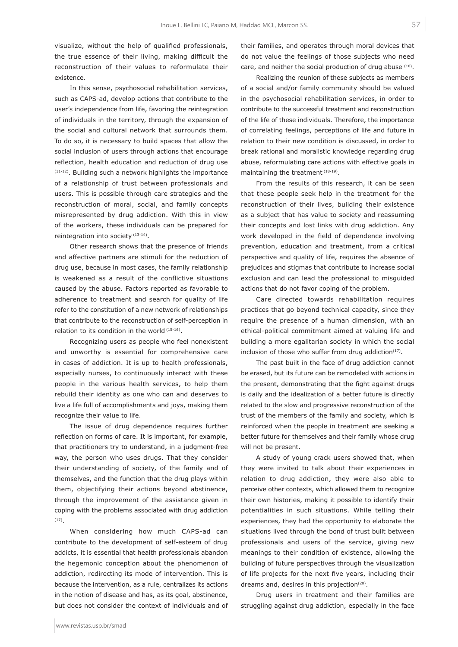visualize, without the help of qualified professionals, the true essence of their living, making difficult the reconstruction of their values to reformulate their existence.

In this sense, psychosocial rehabilitation services, such as CAPS-ad, develop actions that contribute to the user's independence from life, favoring the reintegration of individuals in the territory, through the expansion of the social and cultural network that surrounds them. To do so, it is necessary to build spaces that allow the social inclusion of users through actions that encourage reflection, health education and reduction of drug use  $(11-12)$ . Building such a network highlights the importance of a relationship of trust between professionals and users. This is possible through care strategies and the reconstruction of moral, social, and family concepts misrepresented by drug addiction. With this in view of the workers, these individuals can be prepared for reintegration into society<sup>(13-14)</sup>.

Other research shows that the presence of friends and affective partners are stimuli for the reduction of drug use, because in most cases, the family relationship is weakened as a result of the conflictive situations caused by the abuse. Factors reported as favorable to adherence to treatment and search for quality of life refer to the constitution of a new network of relationships that contribute to the reconstruction of self-perception in relation to its condition in the world (15-16).

Recognizing users as people who feel nonexistent and unworthy is essential for comprehensive care in cases of addiction. It is up to health professionals, especially nurses, to continuously interact with these people in the various health services, to help them rebuild their identity as one who can and deserves to live a life full of accomplishments and joys, making them recognize their value to life.

The issue of drug dependence requires further reflection on forms of care. It is important, for example, that practitioners try to understand, in a judgment-free way, the person who uses drugs. That they consider their understanding of society, of the family and of themselves, and the function that the drug plays within them, objectifying their actions beyond abstinence, through the improvement of the assistance given in coping with the problems associated with drug addiction (17).

When considering how much CAPS-ad can contribute to the development of self-esteem of drug addicts, it is essential that health professionals abandon the hegemonic conception about the phenomenon of addiction, redirecting its mode of intervention. This is because the intervention, as a rule, centralizes its actions in the notion of disease and has, as its goal, abstinence, but does not consider the context of individuals and of

their families, and operates through moral devices that do not value the feelings of those subjects who need care, and neither the social production of drug abuse (18).

Realizing the reunion of these subjects as members of a social and/or family community should be valued in the psychosocial rehabilitation services, in order to contribute to the successful treatment and reconstruction of the life of these individuals. Therefore, the importance of correlating feelings, perceptions of life and future in relation to their new condition is discussed, in order to break rational and moralistic knowledge regarding drug abuse, reformulating care actions with effective goals in maintaining the treatment (18-19).

From the results of this research, it can be seen that these people seek help in the treatment for the reconstruction of their lives, building their existence as a subject that has value to society and reassuming their concepts and lost links with drug addiction. Any work developed in the field of dependence involving prevention, education and treatment, from a critical perspective and quality of life, requires the absence of prejudices and stigmas that contribute to increase social exclusion and can lead the professional to misguided actions that do not favor coping of the problem.

Care directed towards rehabilitation requires practices that go beyond technical capacity, since they require the presence of a human dimension, with an ethical-political commitment aimed at valuing life and building a more egalitarian society in which the social inclusion of those who suffer from drug addiction $(17)$ .

The past built in the face of drug addiction cannot be erased, but its future can be remodeled with actions in the present, demonstrating that the fight against drugs is daily and the idealization of a better future is directly related to the slow and progressive reconstruction of the trust of the members of the family and society, which is reinforced when the people in treatment are seeking a better future for themselves and their family whose drug will not be present.

A study of young crack users showed that, when they were invited to talk about their experiences in relation to drug addiction, they were also able to perceive other contexts, which allowed them to recognize their own histories, making it possible to identify their potentialities in such situations. While telling their experiences, they had the opportunity to elaborate the situations lived through the bond of trust built between professionals and users of the service, giving new meanings to their condition of existence, allowing the building of future perspectives through the visualization of life projects for the next five years, including their dreams and, desires in this projection $(20)$ .

Drug users in treatment and their families are struggling against drug addiction, especially in the face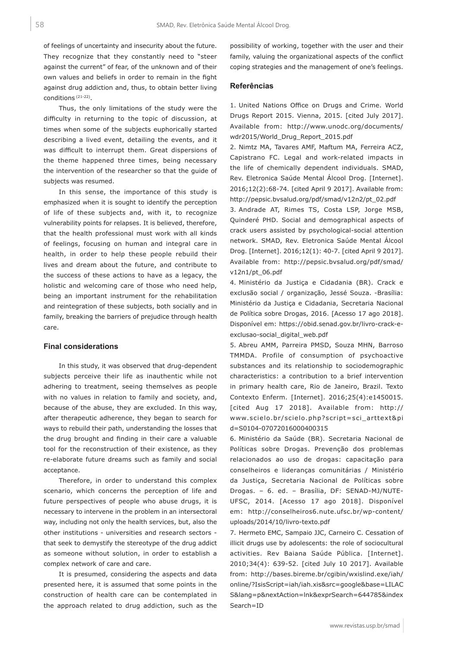of feelings of uncertainty and insecurity about the future. They recognize that they constantly need to "steer against the current" of fear, of the unknown and of their own values and beliefs in order to remain in the fight against drug addiction and, thus, to obtain better living conditions (21-22).

Thus, the only limitations of the study were the difficulty in returning to the topic of discussion, at times when some of the subjects euphorically started describing a lived event, detailing the events, and it was difficult to interrupt them. Great dispersions of the theme happened three times, being necessary the intervention of the researcher so that the guide of subjects was resumed.

In this sense, the importance of this study is emphasized when it is sought to identify the perception of life of these subjects and, with it, to recognize vulnerability points for relapses. It is believed, therefore, that the health professional must work with all kinds of feelings, focusing on human and integral care in health, in order to help these people rebuild their lives and dream about the future, and contribute to the success of these actions to have as a legacy, the holistic and welcoming care of those who need help, being an important instrument for the rehabilitation and reintegration of these subjects, both socially and in family, breaking the barriers of prejudice through health care.

### **Final considerations**

In this study, it was observed that drug-dependent subjects perceive their life as inauthentic while not adhering to treatment, seeing themselves as people with no values in relation to family and society, and, because of the abuse, they are excluded. In this way, after therapeutic adherence, they began to search for ways to rebuild their path, understanding the losses that the drug brought and finding in their care a valuable tool for the reconstruction of their existence, as they re-elaborate future dreams such as family and social acceptance.

Therefore, in order to understand this complex scenario, which concerns the perception of life and future perspectives of people who abuse drugs, it is necessary to intervene in the problem in an intersectoral way, including not only the health services, but, also the other institutions - universities and research sectors that seek to demystify the stereotype of the drug addict as someone without solution, in order to establish a complex network of care and care.

It is presumed, considering the aspects and data presented here, it is assumed that some points in the construction of health care can be contemplated in the approach related to drug addiction, such as the

possibility of working, together with the user and their family, valuing the organizational aspects of the conflict coping strategies and the management of one's feelings.

#### **Referências**

1. United Nations Office on Drugs and Crime. World Drugs Report 2015. Vienna, 2015. [cited July 2017]. Available from: http://www.unodc.org/documents/ wdr2015/World\_Drug\_Report\_2015.pdf

2. Nimtz MA, Tavares AMF, Maftum MA, Ferreira ACZ, Capistrano FC. Legal and work-related impacts in the life of chemically dependent individuals. SMAD, Rev. Eletronica Saúde Mental Álcool Drog. [Internet]. 2016;12(2):68-74. [cited April 9 2017]. Available from: http://pepsic.bvsalud.org/pdf/smad/v12n2/pt\_02.pdf

3. Andrade AT, Rimes TS, Costa LSP, Jorge MSB, Quinderé PHD. Social and demographical aspects of crack users assisted by psychological-social attention network. SMAD, Rev. Eletronica Saúde Mental Álcool Drog. [Internet]. 2016;12(1): 40-7. [cited April 9 2017]. Available from: http://pepsic.bvsalud.org/pdf/smad/ v12n1/pt\_06.pdf

4. Ministério da Justiça e Cidadania (BR). Crack e exclusão social / organização, Jessé Souza. -Brasília: Ministério da Justiça e Cidadania, Secretaria Nacional de Política sobre Drogas, 2016. [Acesso 17 ago 2018]. Disponível em: https://obid.senad.gov.br/livro-crack-eexclusao-social\_digital\_web.pdf

5. Abreu AMM, Parreira PMSD, Souza MHN, Barroso TMMDA. Profile of consumption of psychoactive substances and its relationship to sociodemographic characteristics: a contribution to a brief intervention in primary health care, Rio de Janeiro, Brazil. Texto Contexto Enferm. [Internet]. 2016;25(4):e1450015. [cited Aug 17 2018]. Available from: http:// www.scielo.br/scielo.php?script=sci\_arttext&pi d=S0104-07072016000400315

6. Ministério da Saúde (BR). Secretaria Nacional de Políticas sobre Drogas. Prevenção dos problemas relacionados ao uso de drogas: capacitação para conselheiros e lideranças comunitárias / Ministério da Justiça, Secretaria Nacional de Políticas sobre Drogas. – 6. ed. – Brasília, DF: SENAD-MJ/NUTE-UFSC, 2014. [Acesso 17 ago 2018]. Disponível em: http://conselheiros6.nute.ufsc.br/wp-content/ uploads/2014/10/livro-texto.pdf

7. Hermeto EMC, Sampaio JJC, Carneiro C. Cessation of illicit drugs use by adolescents: the role of sociocultural activities. Rev Baiana Saúde Pública. [Internet]. 2010;34(4): 639-52. [cited July 10 2017]. Available from: http://bases.bireme.br/cgibin/wxislind.exe/iah/ online/?IsisScript=iah/iah.xis&src=google&base=LILAC S&lang=p&nextAction=lnk&exprSearch=644785&index Search=ID